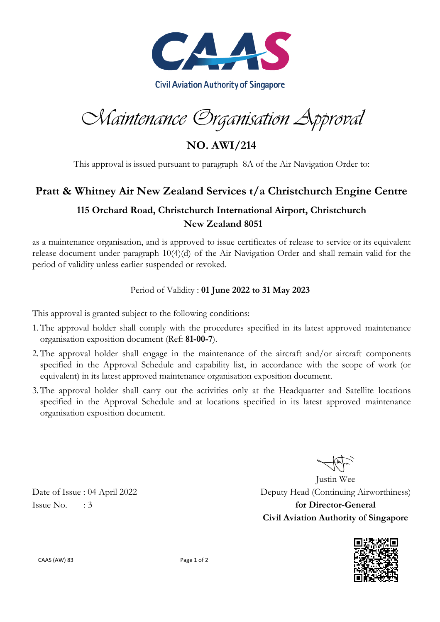

Maintenance Organisation Approval

**NO. AWI/214**

This approval is issued pursuant to paragraph 8A of the Air Navigation Order to:

## **Pratt & Whitney Air New Zealand Services t/a Christchurch Engine Centre**

## **115 Orchard Road, Christchurch International Airport, Christchurch New Zealand 8051**

as a maintenance organisation, and is approved to issue certificates of release to service or its equivalent release document under paragraph 10(4)(d) of the Air Navigation Order and shall remain valid for the period of validity unless earlier suspended or revoked.

## Period of Validity : **01 June 2022 to 31 May 2023**

This approval is granted subject to the following conditions:

- 1.The approval holder shall comply with the procedures specified in its latest approved maintenance organisation exposition document (Ref: **81-00-7**).
- 2.The approval holder shall engage in the maintenance of the aircraft and/or aircraft components specified in the Approval Schedule and capability list, in accordance with the scope of work (or equivalent) in its latest approved maintenance organisation exposition document.
- 3.The approval holder shall carry out the activities only at the Headquarter and Satellite locations specified in the Approval Schedule and at locations specified in its latest approved maintenance organisation exposition document.

Justin Wee Date of Issue : 04 April 2022 Deputy Head (Continuing Airworthiness) Issue No. : 3 **for Director-General Civil Aviation Authority of Singapore**